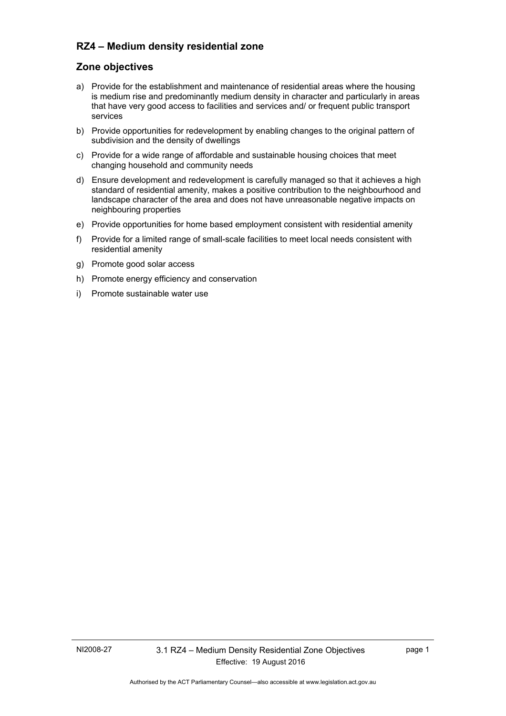## **RZ4 – Medium density residential zone**

## **Zone objectives**

- a) Provide for the establishment and maintenance of residential areas where the housing is medium rise and predominantly medium density in character and particularly in areas that have very good access to facilities and services and/ or frequent public transport services
- b) Provide opportunities for redevelopment by enabling changes to the original pattern of subdivision and the density of dwellings
- c) Provide for a wide range of affordable and sustainable housing choices that meet changing household and community needs
- d) Ensure development and redevelopment is carefully managed so that it achieves a high standard of residential amenity, makes a positive contribution to the neighbourhood and landscape character of the area and does not have unreasonable negative impacts on neighbouring properties
- e) Provide opportunities for home based employment consistent with residential amenity
- f) Provide for a limited range of small-scale facilities to meet local needs consistent with residential amenity
- g) Promote good solar access
- h) Promote energy efficiency and conservation
- i) Promote sustainable water use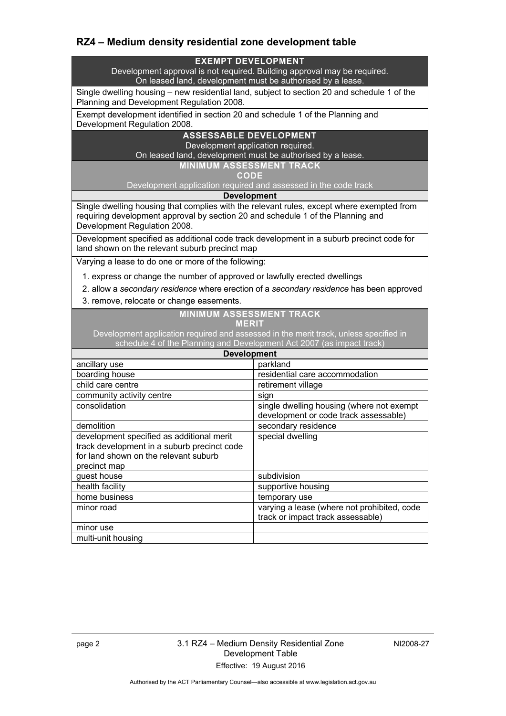# **RZ4 – Medium density residential zone development table**

#### **EXEMPT DEVELOPMENT**

Development approval is not required. Building approval may be required. On leased land, development must be authorised by a lease.

Single dwelling housing – new residential land, subject to section 20 and schedule 1 of the Planning and Development Regulation 2008.

Exempt development identified in section 20 and schedule 1 of the Planning and Development Regulation 2008.

### **ASSESSABLE DEVELOPMENT**

Development application required.

On leased land, development must be authorised by a lease.

**MINIMUM ASSESSMENT TRACK** 

**CODE** 

Development application required and assessed in the code track

**Development**

Single dwelling housing that complies with the relevant rules, except where exempted from requiring development approval by section 20 and schedule 1 of the Planning and Development Regulation 2008.

Development specified as additional code track development in a suburb precinct code for land shown on the relevant suburb precinct map

Varying a lease to do one or more of the following:

- 1. express or change the number of approved or lawfully erected dwellings
- 2. allow a *secondary residence* where erection of a *secondary residence* has been approved
- 3. remove, relocate or change easements.

#### **MINIMUM ASSESSMENT TRACK MERIT**

Development application required and assessed in the merit track, unless specified in schedule 4 of the Planning and Development Act 2007 (as impact track)

| <b>Development</b>                                                                                                                                |                                                                                    |
|---------------------------------------------------------------------------------------------------------------------------------------------------|------------------------------------------------------------------------------------|
| ancillary use                                                                                                                                     | parkland                                                                           |
| boarding house                                                                                                                                    | residential care accommodation                                                     |
| child care centre                                                                                                                                 | retirement village                                                                 |
| community activity centre                                                                                                                         | sign                                                                               |
| consolidation                                                                                                                                     | single dwelling housing (where not exempt<br>development or code track assessable) |
| demolition                                                                                                                                        | secondary residence                                                                |
| development specified as additional merit<br>track development in a suburb precinct code<br>for land shown on the relevant suburb<br>precinct map | special dwelling                                                                   |
| guest house                                                                                                                                       | subdivision                                                                        |
| health facility                                                                                                                                   | supportive housing                                                                 |
| home business                                                                                                                                     | temporary use                                                                      |
| minor road                                                                                                                                        | varying a lease (where not prohibited, code<br>track or impact track assessable)   |
| minor use                                                                                                                                         |                                                                                    |
| multi-unit housing                                                                                                                                |                                                                                    |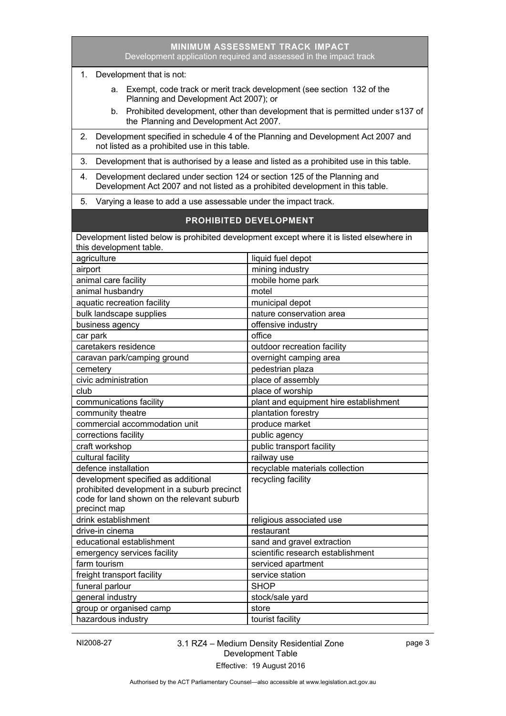|                                                                                                                                                                   | Development application required and assessed in the impact track |  |
|-------------------------------------------------------------------------------------------------------------------------------------------------------------------|-------------------------------------------------------------------|--|
| 1. Development that is not:                                                                                                                                       |                                                                   |  |
| a. Exempt, code track or merit track development (see section 132 of the<br>Planning and Development Act 2007); or                                                |                                                                   |  |
| Prohibited development, other than development that is permitted under s137 of<br>b.<br>the Planning and Development Act 2007.                                    |                                                                   |  |
| Development specified in schedule 4 of the Planning and Development Act 2007 and<br>2.<br>not listed as a prohibited use in this table.                           |                                                                   |  |
| 3.<br>Development that is authorised by a lease and listed as a prohibited use in this table.                                                                     |                                                                   |  |
| Development declared under section 124 or section 125 of the Planning and<br>4.<br>Development Act 2007 and not listed as a prohibited development in this table. |                                                                   |  |
| 5.                                                                                                                                                                | Varying a lease to add a use assessable under the impact track.   |  |
| <b>PROHIBITED DEVELOPMENT</b>                                                                                                                                     |                                                                   |  |
| Development listed below is prohibited development except where it is listed elsewhere in                                                                         |                                                                   |  |
| this development table.                                                                                                                                           |                                                                   |  |
| agriculture                                                                                                                                                       | liquid fuel depot                                                 |  |
| airport                                                                                                                                                           | mining industry                                                   |  |
| animal care facility                                                                                                                                              | mobile home park                                                  |  |
| animal husbandry                                                                                                                                                  | motel                                                             |  |
| aquatic recreation facility                                                                                                                                       | municipal depot                                                   |  |
| bulk landscape supplies                                                                                                                                           | nature conservation area                                          |  |
| business agency                                                                                                                                                   | offensive industry                                                |  |
| car park                                                                                                                                                          | office                                                            |  |
| caretakers residence                                                                                                                                              | outdoor recreation facility                                       |  |
| caravan park/camping ground                                                                                                                                       | overnight camping area                                            |  |
| cemetery                                                                                                                                                          | pedestrian plaza                                                  |  |
| civic administration                                                                                                                                              | place of assembly                                                 |  |
| club                                                                                                                                                              | place of worship                                                  |  |
| communications facility                                                                                                                                           | plant and equipment hire establishment                            |  |
| community theatre                                                                                                                                                 | plantation forestry                                               |  |
| commercial accommodation unit                                                                                                                                     | produce market                                                    |  |
| corrections facility                                                                                                                                              | public agency                                                     |  |
| craft workshop                                                                                                                                                    | public transport facility                                         |  |
| cultural facility                                                                                                                                                 | railway use                                                       |  |
| defence installation                                                                                                                                              | recyclable materials collection                                   |  |
| development specified as additional                                                                                                                               | recycling facility                                                |  |
| prohibited development in a suburb precinct                                                                                                                       |                                                                   |  |
| code for land shown on the relevant suburb                                                                                                                        |                                                                   |  |
| precinct map                                                                                                                                                      |                                                                   |  |
| drink establishment                                                                                                                                               | religious associated use                                          |  |
| drive-in cinema                                                                                                                                                   | restaurant                                                        |  |
| educational establishment                                                                                                                                         | sand and gravel extraction                                        |  |
| emergency services facility                                                                                                                                       | scientific research establishment                                 |  |
| farm tourism                                                                                                                                                      | serviced apartment                                                |  |
| freight transport facility                                                                                                                                        | service station                                                   |  |
| funeral parlour                                                                                                                                                   | <b>SHOP</b>                                                       |  |
| general industry                                                                                                                                                  | stock/sale yard                                                   |  |
| group or organised camp                                                                                                                                           | store                                                             |  |
| hazardous industry                                                                                                                                                | tourist facility                                                  |  |

**MINIMUM ASSESSMENT TRACK IMPACT**

NI2008-27 3.1 RZ4 – Medium Density Residential Zone Development Table Effective: 19 August 2016